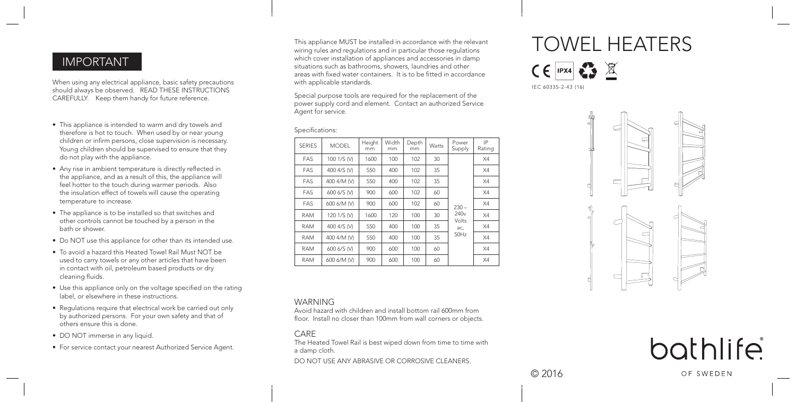## IMPORTANT

When using any electrical appliance, basic safety precautions should always be observed. READ THESE INSTRUCTIONS CAREFULLY. Keep them handy for future reference.

- Specifications: This appliance is intended to warm and dry towels and therefore is hot to touch. When used by or near young children or infirm persons, close supervision is necessary. Young children should be supervised to ensure that they do not play with the appliance.
- Any rise in ambient temperature is directly reflected in the appliance, and as a result of this, the appliance will feel hotter to the touch during warmer periods. Also the insulation effect of towels will cause the operating temperature to increase.
- The appliance is to be installed so that switches and other controls cannot be touched by a person in the bath or shower.
- Do NOT use this appliance for other than its intended use.
- To avoid a hazard this Heated Towel Rail Must NOT be used to carry towels or any other articles that have been in contact with oil, petroleum based products or dry cleaning fluids.
- Use this appliance only on the voltage specified on the rating label, or elsewhere in these instructions.
- Regulations require that electrical work be carried out only by authorized persons. For your own safety and that of others ensure this is done.
- DO NOT immerse in any liquid.
- For service contact your nearest Authorized Service Agent.

This appliance MUST be installed in accordance with the relevant wiring rules and regulations and in particular those regulations which cover installation of appliances and accessories in damp situations such as bathrooms, showers, laundries and other areas with fixed water containers. It is to be fitted in accordance with applicable standards.

Special purpose tools are required for the replacement of the power supply cord and element. Contact an authorized Service Agent for service.

| <b>SERIES</b> | <b>MODEL</b> | Height<br>mm | Width<br>mm | Depth<br>mm | Watts | Power<br>Supply                                     | IP<br>Rating |
|---------------|--------------|--------------|-------------|-------------|-------|-----------------------------------------------------|--------------|
| FAS           | 100 1/S (V)  | 1600         | 100         | 102         | 30    | $230 -$<br>240 <sub>v</sub><br>Volts<br>ac,<br>50Hz | X4           |
| FAS           | 400 4/S (V)  | 550          | 400         | 102         | 35    |                                                     | X4           |
| FAS           | 400 4/M (V)  | 550          | 400         | 102         | 35    |                                                     | X4           |
| FAS           | 600 6/S (V)  | 900          | 600         | 102         | 60    |                                                     | X4           |
| FAS           | 600 6/M (V)  | 900          | 600         | 102         | 60    |                                                     | X4           |
| <b>RAM</b>    | 120 1/S (V)  | 1600         | 120         | 100         | 30    |                                                     | X4           |
| <b>RAM</b>    | 400 4/S (V)  | 550          | 400         | 100         | 35    |                                                     | X4           |
| <b>RAM</b>    | 400 4/M (V)  | 550          | 400         | 100         | 35    |                                                     | X4           |
| <b>RAM</b>    | 600 6/S (V)  | 900          | 600         | 100         | 60    |                                                     | X4           |
| <b>RAM</b>    | 600 6/M (V)  | 900          | 600         | 100         | 60    |                                                     | X4           |

#### WARNING

Avoid hazard with children and install bottom rail 600mm from floor. Install no closer than 100mm from wall corners or objects.

#### CARE

The Heated Towel Rail is best wiped down from time to time with a damp cloth. DO NOT USE ANY ABRASIVE OR CORROSIVE CLEANERS.

# TOWEL HEATERS

 $CE$   $PX4$   $R$   $X$ IEC 60335-2-43 (16)







© 2016